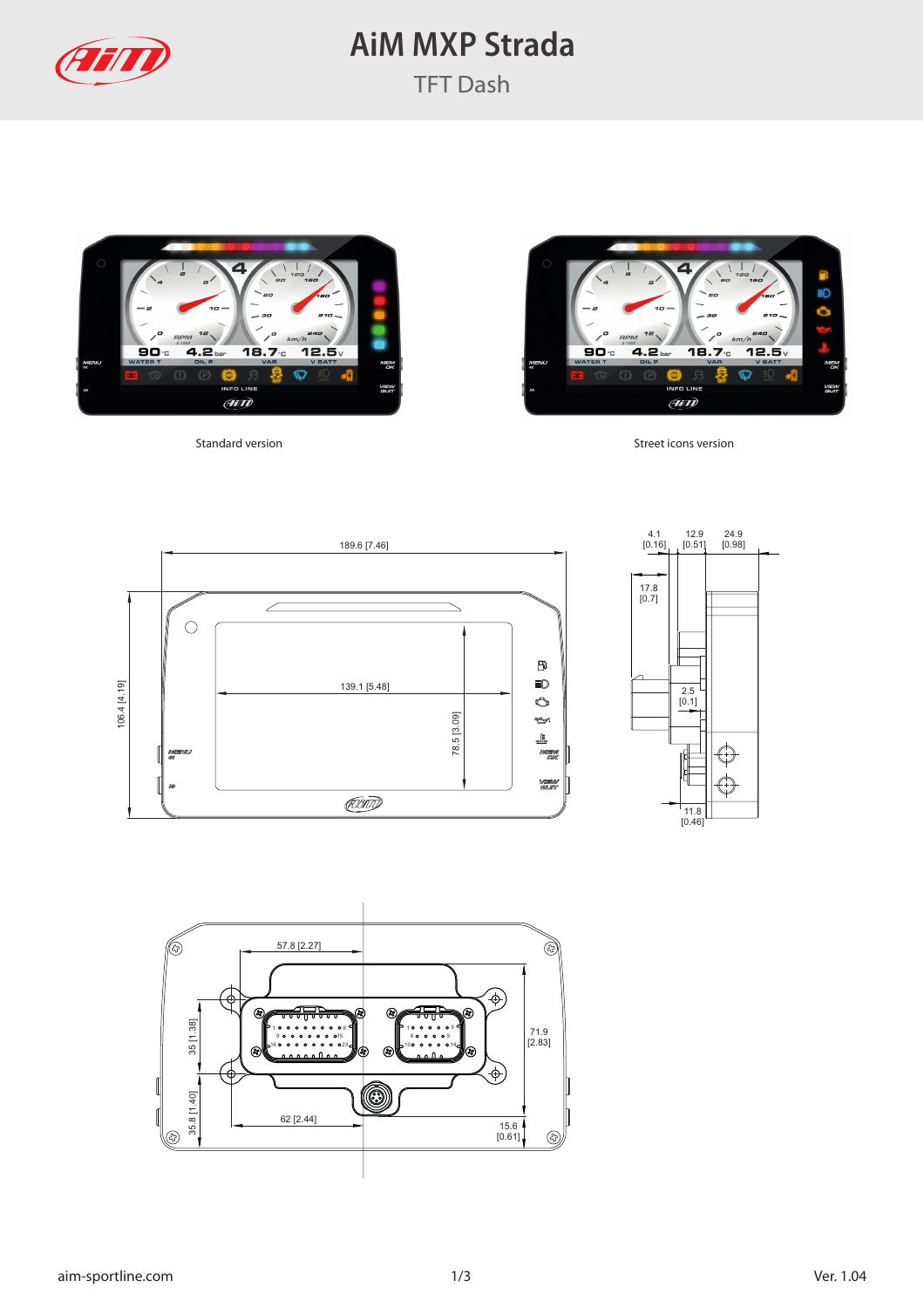

## **AiM MXP Strada**





Standard version Standard version Street icons version





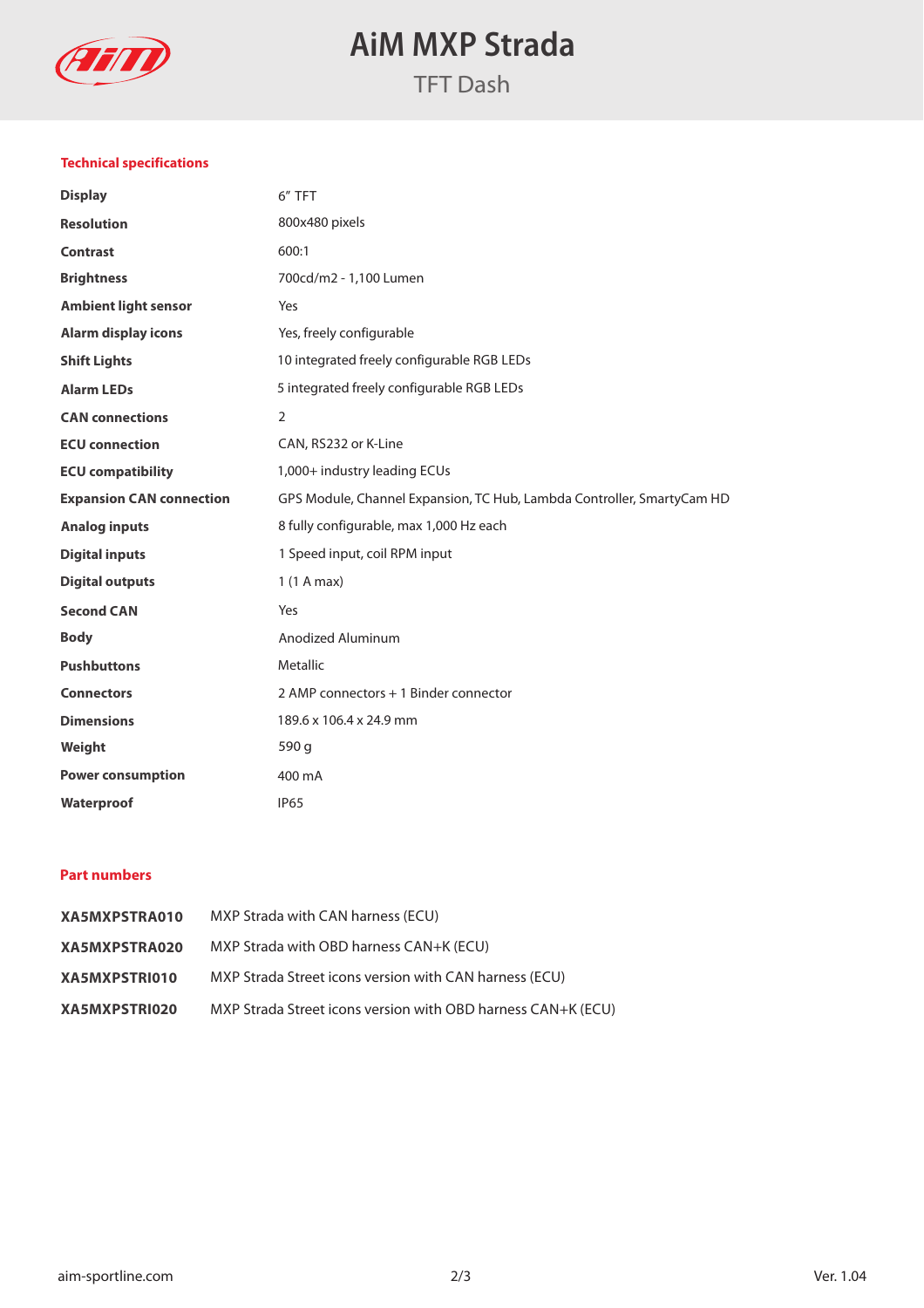

# **AiM MXP Strada**

### **Technical specifications**

| <b>Display</b>                  | 6" TFT                                                                 |
|---------------------------------|------------------------------------------------------------------------|
| <b>Resolution</b>               | 800x480 pixels                                                         |
| <b>Contrast</b>                 | 600:1                                                                  |
| <b>Brightness</b>               | 700cd/m2 - 1,100 Lumen                                                 |
| <b>Ambient light sensor</b>     | Yes                                                                    |
| <b>Alarm display icons</b>      | Yes, freely configurable                                               |
| <b>Shift Lights</b>             | 10 integrated freely configurable RGB LEDs                             |
| <b>Alarm LEDs</b>               | 5 integrated freely configurable RGB LEDs                              |
| <b>CAN</b> connections          | $\overline{2}$                                                         |
| <b>ECU</b> connection           | CAN, RS232 or K-Line                                                   |
| <b>ECU compatibility</b>        | 1,000+ industry leading ECUs                                           |
| <b>Expansion CAN connection</b> | GPS Module, Channel Expansion, TC Hub, Lambda Controller, SmartyCam HD |
| <b>Analog inputs</b>            | 8 fully configurable, max 1,000 Hz each                                |
| <b>Digital inputs</b>           | 1 Speed input, coil RPM input                                          |
| <b>Digital outputs</b>          | 1(1 A max)                                                             |
| <b>Second CAN</b>               | Yes                                                                    |
| <b>Body</b>                     | Anodized Aluminum                                                      |
| <b>Pushbuttons</b>              | <b>Metallic</b>                                                        |
| <b>Connectors</b>               | 2 AMP connectors + 1 Binder connector                                  |
| <b>Dimensions</b>               | 189.6 x 106.4 x 24.9 mm                                                |
| Weight                          | 590 g                                                                  |
| <b>Power consumption</b>        | 400 mA                                                                 |
| Waterproof                      | <b>IP65</b>                                                            |

### **Part numbers**

| XA5MXPSTRA010 | MXP Strada with CAN harness (ECU)                            |
|---------------|--------------------------------------------------------------|
| XA5MXPSTRA020 | MXP Strada with OBD harness CAN+K (ECU)                      |
| XA5MXPSTRI010 | MXP Strada Street icons version with CAN harness (ECU)       |
| XA5MXPSTRI020 | MXP Strada Street icons version with OBD harness CAN+K (ECU) |